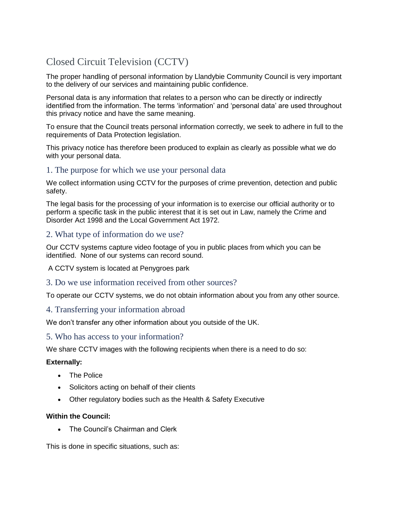# Closed Circuit Television (CCTV)

The proper handling of personal information by Llandybie Community Council is very important to the delivery of our services and maintaining public confidence.

Personal data is any information that relates to a person who can be directly or indirectly identified from the information. The terms 'information' and 'personal data' are used throughout this privacy notice and have the same meaning.

To ensure that the Council treats personal information correctly, we seek to adhere in full to the requirements of Data Protection legislation.

This privacy notice has therefore been produced to explain as clearly as possible what we do with your personal data.

### 1. The purpose for which we use your personal data

We collect information using CCTV for the purposes of crime prevention, detection and public safety.

The legal basis for the processing of your information is to exercise our official authority or to perform a specific task in the public interest that it is set out in Law, namely the Crime and Disorder Act 1998 and the Local Government Act 1972.

## 2. What type of information do we use?

Our CCTV systems capture video footage of you in public places from which you can be identified. None of our systems can record sound.

A CCTV system is located at Penygroes park

#### 3. Do we use information received from other sources?

To operate our CCTV systems, we do not obtain information about you from any other source.

#### 4. Transferring your information abroad

We don't transfer any other information about you outside of the UK.

#### 5. Who has access to your information?

We share CCTV images with the following recipients when there is a need to do so:

#### **Externally:**

- The Police
- Solicitors acting on behalf of their clients
- Other regulatory bodies such as the Health & Safety Executive

#### **Within the Council:**

The Council's Chairman and Clerk

This is done in specific situations, such as: